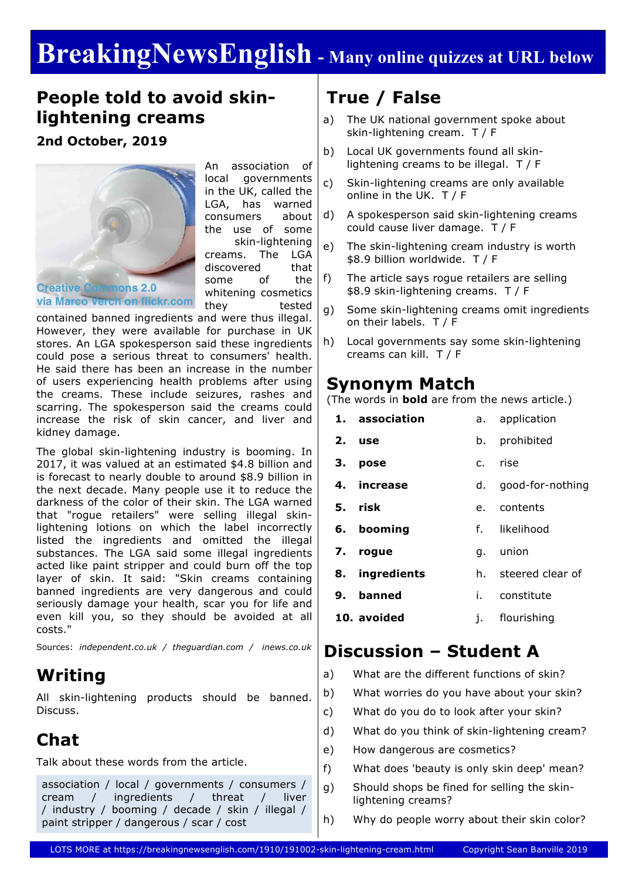# **BreakingNewsEnglish - Many online quizzes at URL below**

### **People told to avoid skinlightening creams**

### **2nd October, 2019**



An association of local governments in the UK, called the LGA, has warned consumers about the use of some skin-lightening creams. The LGA discovered that some of the whitening cosmetics they tested

contained banned ingredients and were thus illegal. However, they were available for purchase in UK stores. An LGA spokesperson said these ingredients could pose a serious threat to consumers' health. He said there has been an increase in the number of users experiencing health problems after using the creams. These include seizures, rashes and scarring. The spokesperson said the creams could increase the risk of skin cancer, and liver and kidney damage.

The global skin-lightening industry is booming. In 2017, it was valued at an estimated \$4.8 billion and is forecast to nearly double to around \$8.9 billion in the next decade. Many people use it to reduce the darkness of the color of their skin. The LGA warned that "rogue retailers" were selling illegal skinlightening lotions on which the label incorrectly listed the ingredients and omitted the illegal substances. The LGA said some illegal ingredients acted like paint stripper and could burn off the top layer of skin. It said: "Skin creams containing banned ingredients are very dangerous and could seriously damage your health, scar you for life and even kill you, so they should be avoided at all costs."

Sources: *independent.co.uk / theguardian.com / inews.co.uk*

### **Writing**

All skin-lightening products should be banned. Discuss.

## **Chat**

Talk about these words from the article.

association / local / governments / consumers / cream / ingredients / threat / liver / industry / booming / decade / skin / illegal / paint stripper / dangerous / scar / cost

# **True / False**

- a) The UK national government spoke about skin-lightening cream. T / F
- b) Local UK governments found all skinlightening creams to be illegal. T / F
- c) Skin-lightening creams are only available online in the UK. T / F
- d) A spokesperson said skin-lightening creams could cause liver damage. T / F
- e) The skin-lightening cream industry is worth \$8.9 billion worldwide. T / F
- f) The article says rogue retailers are selling \$8.9 skin-lightening creams. T / F
- g) Some skin-lightening creams omit ingredients on their labels. T / F
- h) Local governments say some skin-lightening creams can kill. T / F

### **Synonym Match**

(The words in **bold** are from the news article.)

| 1. association | application<br>а. –    |
|----------------|------------------------|
| 2.<br>use      | prohibited<br>b.       |
| З.<br>pose     | rise<br>$\mathsf{C}$ . |
| increase<br>4. | d. good-for-nothing    |
| 5. risk        | e. contents            |
| 6. booming     | f. likelihood          |
| 7. rogue       | union<br>q.            |
| 8. ingredients | h. steered clear of    |
| 9. banned      | i. constitute          |
| 10. avoided    | flourishing<br>ı.      |

### **Discussion – Student A**

- a) What are the different functions of skin?
- b) What worries do you have about your skin?
- c) What do you do to look after your skin?
- d) What do you think of skin-lightening cream?
- e) How dangerous are cosmetics?
- f) What does 'beauty is only skin deep' mean?
- g) Should shops be fined for selling the skinlightening creams?
- h) Why do people worry about their skin color?